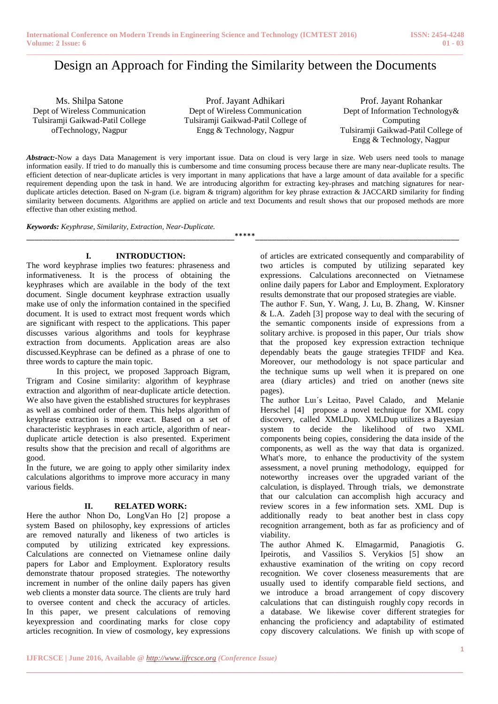# Design an Approach for Finding the Similarity between the Documents

Ms. Shilpa Satone Dept of Wireless Communication Tulsiramji Gaikwad-Patil College ofTechnology, Nagpur

Prof. Jayant Adhikari Dept of Wireless Communication Tulsiramji Gaikwad-Patil College of Engg & Technology, Nagpur

Prof. Jayant Rohankar Dept of Information Technology& Computing Tulsiramji Gaikwad-Patil College of Engg & Technology, Nagpur

*Abstract:-*Now a days Data Management is very important issue. Data on cloud is very large in size. Web users need tools to manage information easily. If tried to do manually this is cumbersome and time consuming process because there are many near-duplicate results. The efficient detection of near-duplicate articles is very important in many applications that have a large amount of data available for a specific requirement depending upon the task in hand. We are introducing algorithm for extracting key-phrases and matching signatures for nearduplicate articles detection. Based on N-gram (i.e. bigram & trigram) algorithm for key phrase extraction & JACCARD similarity for finding similarity between documents. Algorithms are applied on article and text Documents and result shows that our proposed methods are more effective than other existing method.

\_\_\_\_\_\_\_\_\_\_\_\_\_\_\_\_\_\_\_\_\_\_\_\_\_\_\_\_\_\_\_\_\_\_\_\_\_\_\_\_\_\_\_\_\_\_\_\_\_\_\*\*\*\*\*\_\_\_\_\_\_\_\_\_\_\_\_\_\_\_\_\_\_\_\_\_\_\_\_\_\_\_\_\_\_\_\_\_\_\_\_\_\_\_\_\_\_\_\_\_\_\_\_\_

*Keywords: Keyphrase, Similarity, Extraction, Near-Duplicate.*

# **I. INTRODUCTION:**

The word keyphrase implies two features: phraseness and informativeness. It is the process of obtaining the keyphrases which are available in the body of the text document. Single document keyphrase extraction usually make use of only the information contained in the specified document. It is used to extract most frequent words which are significant with respect to the applications. This paper discusses various algorithms and tools for keyphrase extraction from documents. Application areas are also discussed.Keyphrase can be defined as a phrase of one to three words to capture the main topic.

In this project, we proposed 3approach Bigram, Trigram and Cosine similarity: algorithm of keyphrase extraction and algorithm of near-duplicate article detection. We also have given the established structures for keyphrases as well as combined order of them. This helps algorithm of keyphrase extraction is more exact. Based on a set of characteristic keyphrases in each article, algorithm of nearduplicate article detection is also presented. Experiment results show that the precision and recall of algorithms are good.

In the future, we are going to apply other similarity index calculations algorithms to improve more accuracy in many various fields.

## **II. RELATED WORK:**

Here the author Nhon Do, LongVan Ho [2] propose a system Based on philosophy, key expressions of articles are removed naturally and likeness of two articles is computed by utilizing extricated key expressions. Calculations are connected on Vietnamese online daily papers for Labor and Employment. Exploratory results demonstrate thatour proposed strategies. The noteworthy increment in number of the online daily papers has given web clients a monster data source. The clients are truly hard to oversee content and check the accuracy of articles. In this paper, we present calculations of removing keyexpression and coordinating marks for close copy articles recognition. In view of cosmology, key expressions

of articles are extricated consequently and comparability of two articles is computed by utilizing separated key expressions. Calculations areconnected on Vietnamese online daily papers for Labor and Employment. Exploratory results demonstrate that our proposed strategies are viable.

The author F. Sun, Y. Wang, J. Lu, B. Zhang, W. Kinsner & L.A. Zadeh [3] propose way to deal with the securing of the semantic components inside of expressions from a solitary archive. is proposed in this paper, Our trials show that the proposed key expression extraction technique dependably beats the gauge strategies TFIDF and Kea. Moreover, our methodology is not space particular and the technique sums up well when it is prepared on one area (diary articles) and tried on another (news site pages).

The author Luı´s Leitao, Pavel Calado, and Melanie Herschel [4] propose a novel technique for XML copy discovery, called XMLDup. XMLDup utilizes a Bayesian system to decide the likelihood of two XML components being copies, considering the data inside of the components, as well as the way that data is organized. What's more, to enhance the productivity of the system assessment, a novel pruning methodology, equipped for noteworthy increases over the upgraded variant of the calculation, is displayed. Through trials, we demonstrate that our calculation can accomplish high accuracy and review scores in a few information sets. XML Dup is additionally ready to beat another best in class copy recognition arrangement, both as far as proficiency and of viability.

The author Ahmed K. Elmagarmid, Panagiotis G. Ipeirotis, and Vassilios S. Verykios [5] show an exhaustive examination of the writing on copy record recognition. We cover closeness measurements that are usually used to identify comparable field sections, and we introduce a broad arrangement of copy discovery calculations that can distinguish roughly copy records in a database. We likewise cover different strategies for enhancing the proficiency and adaptability of estimated copy discovery calculations. We finish up with scope of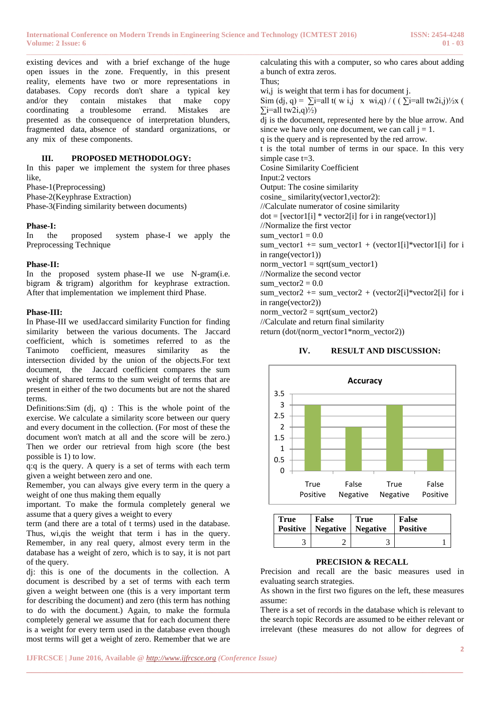existing devices and with a brief exchange of the huge open issues in the zone. Frequently, in this present reality, elements have two or more representations in databases. Copy records don't share a typical key and/or they contain mistakes that make copy coordinating a troublesome errand. Mistakes are presented as the consequence of interpretation blunders, fragmented data, absence of standard organizations, or any mix of these components.

# **III. PROPOSED METHODOLOGY:**

In this paper we implement the system for three phases like,

Phase-1(Preprocessing) Phase-2(Keyphrase Extraction)

Phase-3(Finding similarity between documents)

## **Phase-I:**

In the proposed system phase-I we apply the Preprocessing Technique

#### **Phase-II:**

In the proposed system phase-II we use N-gram(i.e. bigram & trigram) algorithm for keyphrase extraction. After that implementation we implement third Phase.

#### **Phase-III:**

In Phase-III we usedJaccard similarity Function for finding similarity between the various documents. The Jaccard coefficient, which is sometimes referred to as the Tanimoto coefficient, measures similarity as the intersection divided by the union of the objects.For text document, the Jaccard coefficient compares the sum weight of shared terms to the sum weight of terms that are present in either of the two documents but are not the shared terms.

Definitions: Sim  $(d_i, q)$ : This is the whole point of the exercise. We calculate a similarity score between our query and every document in the collection. (For most of these the document won't match at all and the score will be zero.) Then we order our retrieval from high score (the best possible is 1) to low.

q:q is the query. A query is a set of terms with each term given a weight between zero and one.

Remember, you can always give every term in the query a weight of one thus making them equally

important. To make the formula completely general we assume that a query gives a weight to every

term (and there are a total of t terms) used in the database. Thus, wi,qis the weight that term i has in the query. Remember, in any real query, almost every term in the database has a weight of zero, which is to say, it is not part of the query.

dj: this is one of the documents in the collection. A document is described by a set of terms with each term given a weight between one (this is a very important term for describing the document) and zero (this term has nothing to do with the document.) Again, to make the formula completely general we assume that for each document there is a weight for every term used in the database even though most terms will get a weight of zero. Remember that we are

calculating this with a computer, so who cares about adding a bunch of extra zeros. Thus; wi, j is weight that term i has for document j. Sim (dj, q) =  $\sum$ i=all t( w i,j x wi,q) / (  $\sum$ i=all tw2i,j)<sup>1</sup>/<sub>2</sub>x (  $\sum$ i=all tw2i,q)½) dj is the document, represented here by the blue arrow. And since we have only one document, we can call  $j = 1$ . q is the query and is represented by the red arrow. t is the total number of terms in our space. In this very simple case t=3. Cosine Similarity Coefficient Input:2 vectors Output: The cosine similarity cosine\_similarity(vector1,vector2): //Calculate numerator of cosine similarity  $dot = [vector1[i] * vector2[i] for i in range(vector1)]$ //Normalize the first vector sum\_vector1 =  $0.0$ sum\_vector1 += sum\_vector1 + (vector1[i]\*vector1[i] for i in range(vector1))  $norm\_vector1 = sqrt(sum\_vector1)$ //Normalize the second vector sum vector $2 = 0.0$ sum\_vector2 += sum\_vector2 + (vector2[i]\*vector2[i] for i in range(vector2)) norm\_vector2 = sqrt(sum\_vector2) //Calculate and return final similarity

return (dot/(norm\_vector1\*norm\_vector2))

#### **IV. RESULT AND DISCUSSION:**



| True | False<br><b>Positive</b>   Negative   Negative | <b>True</b> | <b>False</b><br>  Positive |
|------|------------------------------------------------|-------------|----------------------------|
|      |                                                |             |                            |

# **PRECISION & RECALL**

Precision and recall are the basic measures used in evaluating search strategies.

As shown in the first two figures on the left, these measures assume:

There is a set of records in the database which is relevant to the search topic Records are assumed to be either relevant or irrelevant (these measures do not allow for degrees of

**\_\_\_\_\_\_\_\_\_\_\_\_\_\_\_\_\_\_\_\_\_\_\_\_\_\_\_\_\_\_\_\_\_\_\_\_\_\_\_\_\_\_\_\_\_\_\_\_\_\_\_\_\_\_\_\_\_\_\_\_\_\_\_\_\_\_\_\_\_\_\_\_\_\_\_\_\_\_\_\_\_\_\_\_\_\_\_**